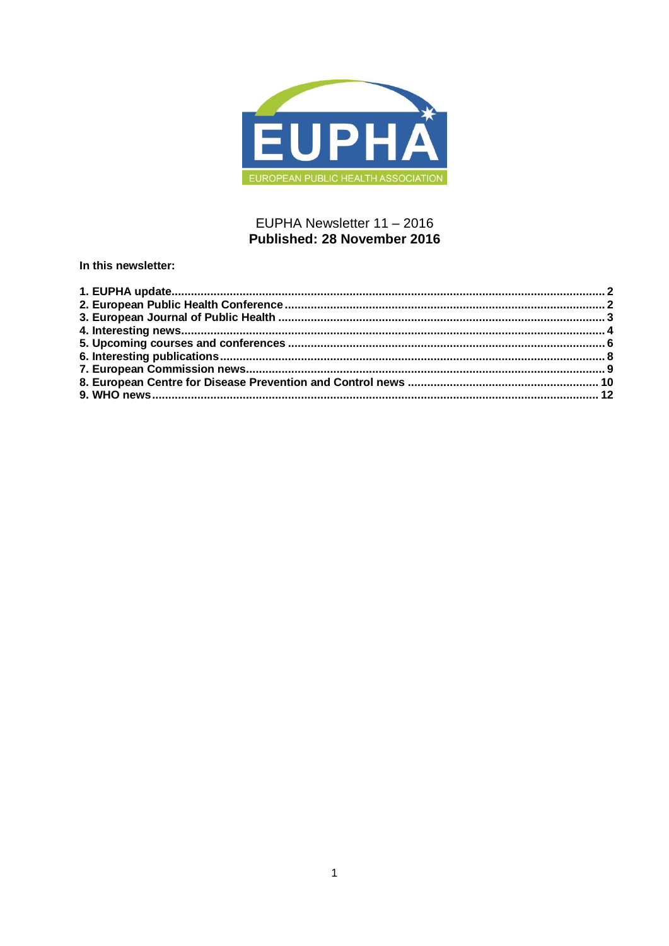

## EUPHA Newsletter 11 - 2016 Published: 28 November 2016

In this newsletter: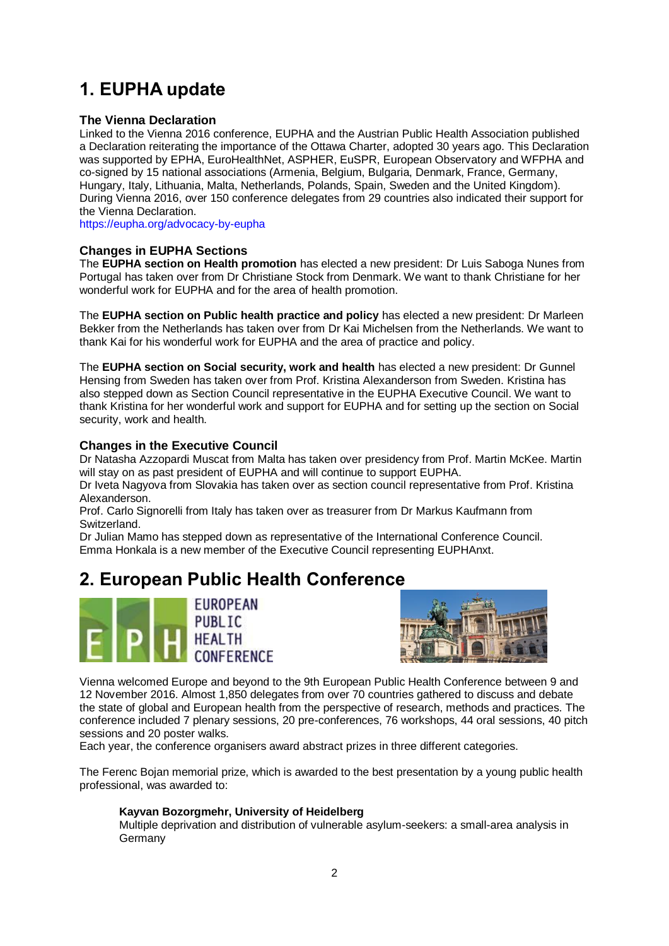# <span id="page-1-0"></span>**1. EUPHA update**

## **The Vienna Declaration**

Linked to the Vienna 2016 conference, EUPHA and the Austrian Public Health Association published a Declaration reiterating the importance of the Ottawa Charter, adopted 30 years ago. This Declaration was supported by EPHA, EuroHealthNet, ASPHER, EuSPR, European Observatory and WFPHA and co-signed by 15 national associations (Armenia, Belgium, Bulgaria, Denmark, France, Germany, Hungary, Italy, Lithuania, Malta, Netherlands, Polands, Spain, Sweden and the United Kingdom). During Vienna 2016, over 150 conference delegates from 29 countries also indicated their support for the Vienna Declaration.

<https://eupha.org/advocacy-by-eupha>

## **Changes in EUPHA Sections**

The **EUPHA section on Health promotion** has elected a new president: Dr Luis Saboga Nunes from Portugal has taken over from Dr Christiane Stock from Denmark. We want to thank Christiane for her wonderful work for EUPHA and for the area of health promotion.

The **EUPHA section on Public health practice and policy** has elected a new president: Dr Marleen Bekker from the Netherlands has taken over from Dr Kai Michelsen from the Netherlands. We want to thank Kai for his wonderful work for EUPHA and the area of practice and policy.

The **EUPHA section on Social security, work and health** has elected a new president: Dr Gunnel Hensing from Sweden has taken over from Prof. Kristina Alexanderson from Sweden. Kristina has also stepped down as Section Council representative in the EUPHA Executive Council. We want to thank Kristina for her wonderful work and support for EUPHA and for setting up the section on Social security, work and health.

## **Changes in the Executive Council**

Dr Natasha Azzopardi Muscat from Malta has taken over presidency from Prof. Martin McKee. Martin will stay on as past president of EUPHA and will continue to support EUPHA.

Dr Iveta Nagyova from Slovakia has taken over as section council representative from Prof. Kristina Alexanderson.

Prof. Carlo Signorelli from Italy has taken over as treasurer from Dr Markus Kaufmann from Switzerland.

Dr Julian Mamo has stepped down as representative of the International Conference Council. Emma Honkala is a new member of the Executive Council representing EUPHAnxt.

## <span id="page-1-1"></span>**2. European Public Health Conference**





Vienna welcomed Europe and beyond to the 9th European Public Health Conference between 9 and 12 November 2016. Almost 1,850 delegates from over 70 countries gathered to discuss and debate the state of global and European health from the perspective of research, methods and practices. The conference included 7 plenary sessions, 20 pre-conferences, 76 workshops, 44 oral sessions, 40 pitch sessions and 20 poster walks.

Each year, the conference organisers award abstract prizes in three different categories.

The Ferenc Bojan memorial prize, which is awarded to the best presentation by a young public health professional, was awarded to:

## **Kayvan Bozorgmehr, University of Heidelberg**

Multiple deprivation and distribution of vulnerable asylum-seekers: a small-area analysis in Germany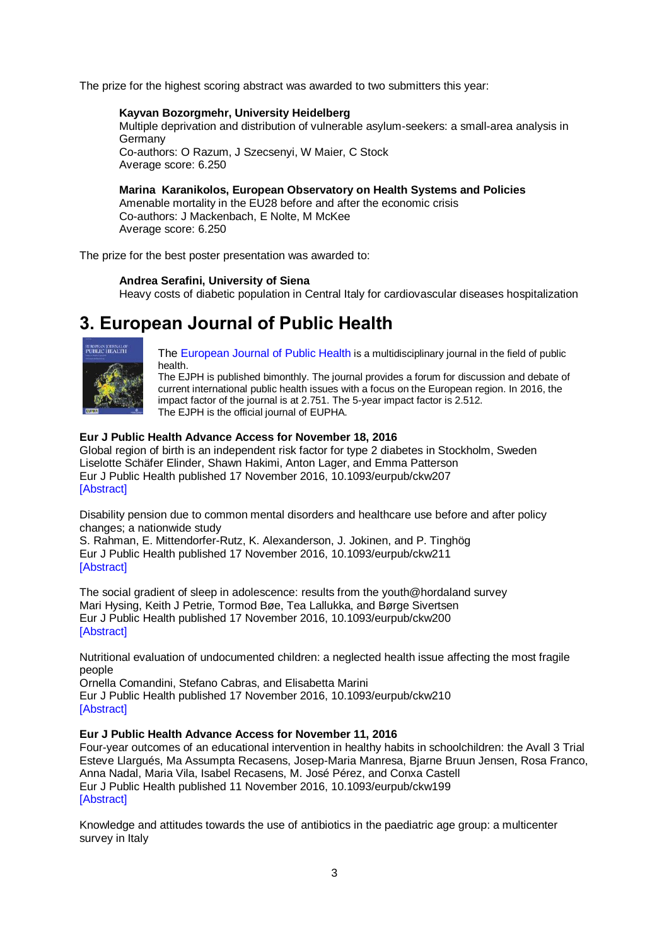The prize for the highest scoring abstract was awarded to two submitters this year:

### **Kayvan Bozorgmehr, University Heidelberg**

Multiple deprivation and distribution of vulnerable asylum-seekers: a small-area analysis in Germany Co-authors: O Razum, J Szecsenyi, W Maier, C Stock

Average score: 6.250

## **Marina Karanikolos, European Observatory on Health Systems and Policies**

Amenable mortality in the EU28 before and after the economic crisis Co-authors: J Mackenbach, E Nolte, M McKee Average score: 6.250

The prize for the best poster presentation was awarded to:

## **Andrea Serafini, University of Siena**

Heavy costs of diabetic population in Central Italy for cardiovascular diseases hospitalization

## <span id="page-2-0"></span>**3. European Journal of Public Health**



[The European Journal of Public Health](http://eurpub.oxfordjournals.org/) is a multidisciplinary journal in the field of public health.

The EJPH is published bimonthly. The journal provides a forum for discussion and debate of current international public health issues with a focus on the European region. In 2016, the impact factor of the journal is at 2.751. The 5-year impact factor is 2.512. The EJPH is the official journal of EUPHA.

## **Eur J Public Health Advance Access for November 18, 2016**

Global region of birth is an independent risk factor for type 2 diabetes in Stockholm, Sweden Liselotte Schäfer Elinder, Shawn Hakimi, Anton Lager, and Emma Patterson Eur J Public Health published 17 November 2016, 10.1093/eurpub/ckw207 [\[Abstract\]](http://eurpub.oxfordjournals.org/content/early/2016/11/16/eurpub.ckw207.abstract?papetoc)

Disability pension due to common mental disorders and healthcare use before and after policy changes; a nationwide study

S. Rahman, E. Mittendorfer-Rutz, K. Alexanderson, J. Jokinen, and P. Tinghög Eur J Public Health published 17 November 2016, 10.1093/eurpub/ckw211 [\[Abstract\]](http://eurpub.oxfordjournals.org/content/early/2016/11/16/eurpub.ckw211.abstract?papetoc)

The social gradient of sleep in adolescence: results from the youth@hordaland survey Mari Hysing, Keith J Petrie, Tormod Bøe, Tea Lallukka, and Børge Sivertsen Eur J Public Health published 17 November 2016, 10.1093/eurpub/ckw200 [\[Abstract\]](http://eurpub.oxfordjournals.org/content/early/2016/11/16/eurpub.ckw200.abstract?papetoc)

Nutritional evaluation of undocumented children: a neglected health issue affecting the most fragile people

Ornella Comandini, Stefano Cabras, and Elisabetta Marini Eur J Public Health published 17 November 2016, 10.1093/eurpub/ckw210 [\[Abstract\]](http://eurpub.oxfordjournals.org/content/early/2016/11/16/eurpub.ckw210.abstract?papetoc)

#### **Eur J Public Health Advance Access for November 11, 2016**

Four-year outcomes of an educational intervention in healthy habits in schoolchildren: the Avall 3 Trial Esteve Llargués, Ma Assumpta Recasens, Josep-Maria Manresa, Bjarne Bruun Jensen, Rosa Franco, Anna Nadal, Maria Vila, Isabel Recasens, M. José Pérez, and Conxa Castell Eur J Public Health published 11 November 2016, 10.1093/eurpub/ckw199 [\[Abstract\]](http://eurpub.oxfordjournals.org/content/early/2016/11/08/eurpub.ckw199.abstract?papetoc)

Knowledge and attitudes towards the use of antibiotics in the paediatric age group: a multicenter survey in Italy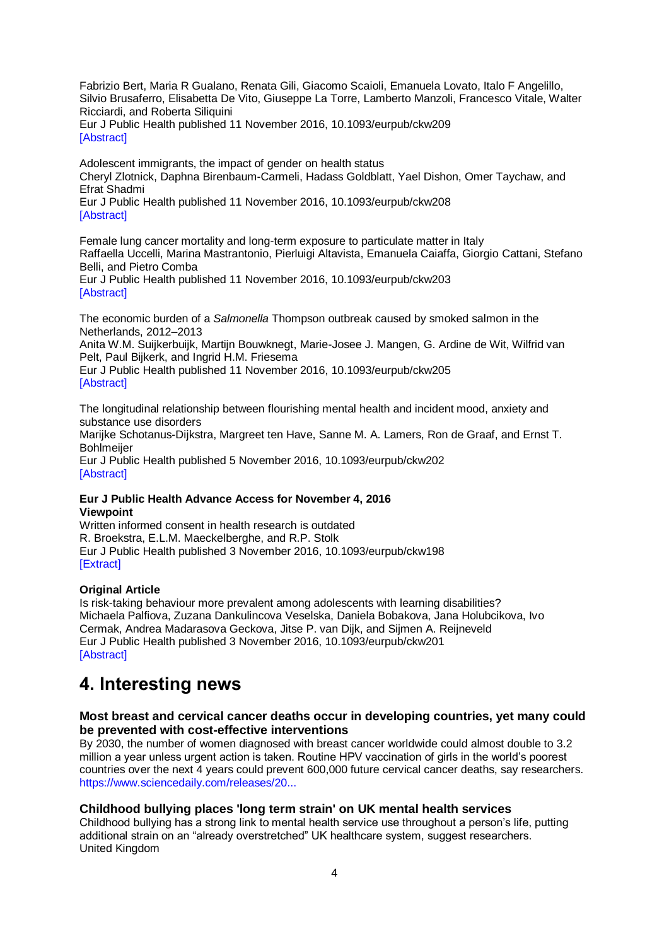Fabrizio Bert, Maria R Gualano, Renata Gili, Giacomo Scaioli, Emanuela Lovato, Italo F Angelillo, Silvio Brusaferro, Elisabetta De Vito, Giuseppe La Torre, Lamberto Manzoli, Francesco Vitale, Walter Ricciardi, and Roberta Siliquini

Eur J Public Health published 11 November 2016, 10.1093/eurpub/ckw209 [\[Abstract\]](http://eurpub.oxfordjournals.org/content/early/2016/11/08/eurpub.ckw209.abstract?papetoc)

Adolescent immigrants, the impact of gender on health status Cheryl Zlotnick, Daphna Birenbaum-Carmeli, Hadass Goldblatt, Yael Dishon, Omer Taychaw, and Efrat Shadmi Eur J Public Health published 11 November 2016, 10.1093/eurpub/ckw208 [\[Abstract\]](http://eurpub.oxfordjournals.org/content/early/2016/11/08/eurpub.ckw208.abstract?papetoc)

Female lung cancer mortality and long-term exposure to particulate matter in Italy Raffaella Uccelli, Marina Mastrantonio, Pierluigi Altavista, Emanuela Caiaffa, Giorgio Cattani, Stefano Belli, and Pietro Comba

Eur J Public Health published 11 November 2016, 10.1093/eurpub/ckw203 [\[Abstract\]](http://eurpub.oxfordjournals.org/content/early/2016/11/08/eurpub.ckw203.abstract?papetoc)

The economic burden of a *Salmonella* Thompson outbreak caused by smoked salmon in the Netherlands, 2012–2013

Anita W.M. Suijkerbuijk, Martijn Bouwknegt, Marie-Josee J. Mangen, G. Ardine de Wit, Wilfrid van Pelt, Paul Bijkerk, and Ingrid H.M. Friesema

Eur J Public Health published 11 November 2016, 10.1093/eurpub/ckw205 [\[Abstract\]](http://eurpub.oxfordjournals.org/content/early/2016/11/08/eurpub.ckw205.abstract?papetoc)

The longitudinal relationship between flourishing mental health and incident mood, anxiety and substance use disorders

Marijke Schotanus-Dijkstra, Margreet ten Have, Sanne M. A. Lamers, Ron de Graaf, and Ernst T. **Bohlmeijer** 

Eur J Public Health published 5 November 2016, 10.1093/eurpub/ckw202 [\[Abstract\]](http://eurpub.oxfordjournals.org/content/early/2016/11/05/eurpub.ckw202.abstract?papetoc)

## **Eur J Public Health Advance Access for November 4, 2016 Viewpoint**

Written informed consent in health research is outdated R. Broekstra, E.L.M. Maeckelberghe, and R.P. Stolk Eur J Public Health published 3 November 2016, 10.1093/eurpub/ckw198 [\[Extract\]](http://eurpub.oxfordjournals.org/content/early/2016/11/02/eurpub.ckw198.extract?papetoc)

## **Original Article**

Is risk-taking behaviour more prevalent among adolescents with learning disabilities? Michaela Palfiova, Zuzana Dankulincova Veselska, Daniela Bobakova, Jana Holubcikova, Ivo Cermak, Andrea Madarasova Geckova, Jitse P. van Dijk, and Sijmen A. Reijneveld Eur J Public Health published 3 November 2016, 10.1093/eurpub/ckw201 [\[Abstract\]](http://eurpub.oxfordjournals.org/content/early/2016/11/02/eurpub.ckw201.abstract?papetoc)

## <span id="page-3-0"></span>**4. Interesting news**

## **Most breast and cervical cancer deaths occur in developing countries, yet many could be prevented with cost-effective interventions**

By 2030, the number of women diagnosed with breast cancer worldwide could almost double to 3.2 million a year unless urgent action is taken. Routine HPV vaccination of girls in the world's poorest countries over the next 4 years could prevent 600,000 future cervical cancer deaths, say researchers. [https://www.sciencedaily.com/releases/20...](http://www.sciencedaily.com/releases/2016/11/161102080119.htm?utm_source=feedburner&utm_medium=email&utm_campaign=Feed%3A+sciencedaily%2Fscience_society%2Fpublic_health+%28Public+Health+News+--+Scien)

## **Childhood bullying places 'long term strain' on UK mental health services**

Childhood bullying has a strong link to mental health service use throughout a person's life, putting additional strain on an "already overstretched" UK healthcare system, suggest researchers. United Kingdom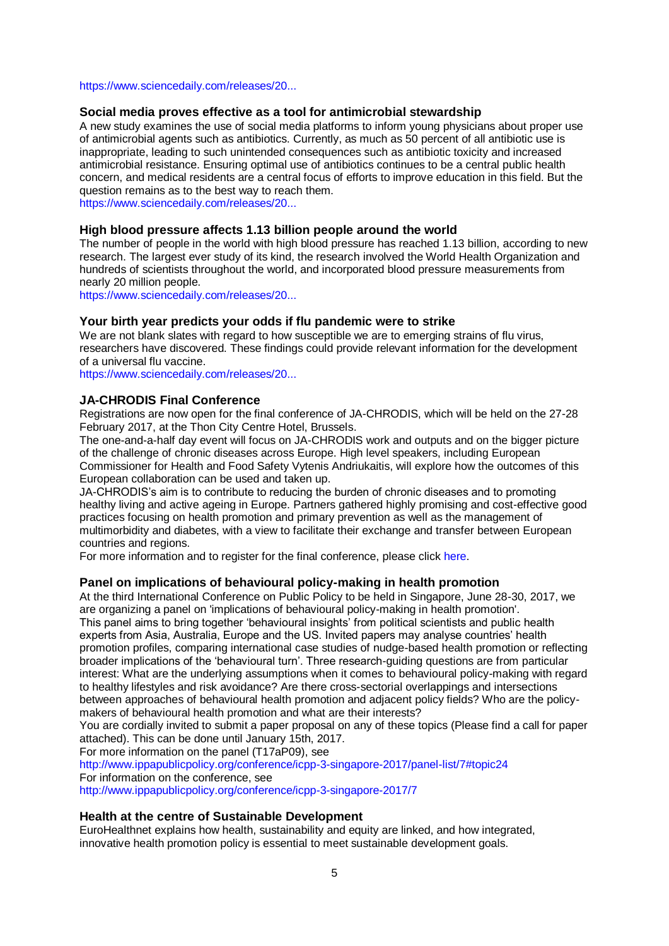#### [https://www.sciencedaily.com/releases/20...](https://www.sciencedaily.com/releases/2016/10/161027093610.htm?utm_source=feedburner&utm_medium=email&utm_campaign=Feed%3A+sciencedaily%2Fscience_society%2Fpublic_health+%28Public+Health+News+--+Scien)

### **Social media proves effective as a tool for antimicrobial stewardship**

A new study examines the use of social media platforms to inform young physicians about proper use of antimicrobial agents such as antibiotics. Currently, as much as 50 percent of all antibiotic use is inappropriate, leading to such unintended consequences such as antibiotic toxicity and increased antimicrobial resistance. Ensuring optimal use of antibiotics continues to be a central public health concern, and medical residents are a central focus of efforts to improve education in this field. But the question remains as to the best way to reach them.

[https://www.sciencedaily.com/releases/20...](https://www.sciencedaily.com/releases/2016/10/161031124907.htm?utm_source=feedburner&utm_medium=email&utm_campaign=Feed%3A+sciencedaily%2Fscience_society%2Fpublic_health+%28Public+Health+News+--+Scien)

## **High blood pressure affects 1.13 billion people around the world**

The number of people in the world with high blood pressure has reached 1.13 billion, according to new research. The largest ever study of its kind, the research involved the World Health Organization and hundreds of scientists throughout the world, and incorporated blood pressure measurements from nearly 20 million people.

[https://www.sciencedaily.com/releases/20...](https://www.sciencedaily.com/releases/2016/11/161116100003.htm?utm_source=feedburner&utm_medium=email&utm_campaign=Feed%3A+sciencedaily%2Fscience_society%2Fpublic_health+%28Public+Health+News+--+Scien)

#### **Your birth year predicts your odds if flu pandemic were to strike**

We are not blank slates with regard to how susceptible we are to emerging strains of flu virus, researchers have discovered. These findings could provide relevant information for the development of a universal flu vaccine.

[https://www.sciencedaily.com/releases/20...](https://www.sciencedaily.com/releases/2016/11/161110152045.htm?utm_source=feedburner&utm_medium=email&utm_campaign=Feed%3A+sciencedaily%2Fscience_society%2Fpublic_health+%28Public+Health+News+--+Scien)

## **JA-CHRODIS Final Conference**

Registrations are now open for the final conference of JA-CHRODIS, which will be held on the 27-28 February 2017, at the Thon City Centre Hotel, Brussels.

The one-and-a-half day event will focus on JA-CHRODIS work and outputs and on the bigger picture of the challenge of chronic diseases across Europe. High level speakers, including European Commissioner for Health and Food Safety Vytenis Andriukaitis, will explore how the outcomes of this European collaboration can be used and taken up.

JA-CHRODIS's aim is to contribute to reducing the burden of chronic diseases and to promoting healthy living and active ageing in Europe. Partners gathered highly promising and cost-effective good practices focusing on health promotion and primary prevention as well as the management of multimorbidity and diabetes, with a view to facilitate their exchange and transfer between European countries and regions.

For more information and to register for the final conference, please click [here.](http://www.chrodis.eu/event/ja-chrodis-final-conference/)

#### **Panel on implications of behavioural policy-making in health promotion**

At the third International Conference on Public Policy to be held in Singapore, June 28-30, 2017, we are organizing a panel on 'implications of behavioural policy-making in health promotion'. This panel aims to bring together 'behavioural insights' from political scientists and public health experts from Asia, Australia, Europe and the US. Invited papers may analyse countries' health promotion profiles, comparing international case studies of nudge-based health promotion or reflecting broader implications of the 'behavioural turn'. Three research-guiding questions are from particular interest: What are the underlying assumptions when it comes to behavioural policy-making with regard to healthy lifestyles and risk avoidance? Are there cross-sectorial overlappings and intersections between approaches of behavioural health promotion and adjacent policy fields? Who are the policymakers of behavioural health promotion and what are their interests?

You are cordially invited to submit a paper proposal on any of these topics (Please find a call for paper attached). This can be done until January 15th, 2017.

For more information on the panel (T17aP09), see

<http://www.ippapublicpolicy.org/conference/icpp-3-singapore-2017/panel-list/7#topic24> For information on the conference, see

<http://www.ippapublicpolicy.org/conference/icpp-3-singapore-2017/7>

### **Health at the centre of Sustainable Development**

EuroHealthnet explains how health, sustainability and equity are linked, and how integrated, innovative health promotion policy is essential to meet sustainable development goals.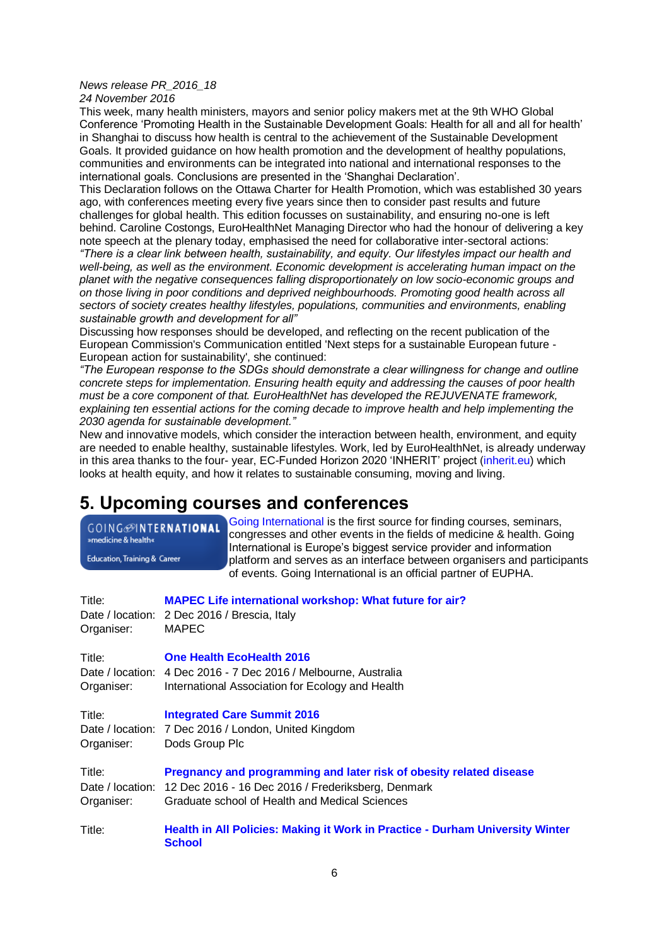### *News release PR\_2016\_18*

*24 November 2016*

This week, many health ministers, mayors and senior policy makers met at the 9th WHO Global Conference 'Promoting Health in the Sustainable Development Goals: Health for all and all for health' in Shanghai to discuss how health is central to the achievement of the Sustainable Development Goals. It provided guidance on how health promotion and the development of healthy populations, communities and environments can be integrated into national and international responses to the international goals. Conclusions are presented in the 'Shanghai Declaration'.

This Declaration follows on the Ottawa Charter for Health Promotion, which was established 30 years ago, with conferences meeting every five years since then to consider past results and future challenges for global health. This edition focusses on sustainability, and ensuring no-one is left behind. Caroline Costongs, EuroHealthNet Managing Director who had the honour of delivering a key

note speech at the plenary today, emphasised the need for collaborative inter-sectoral actions: *"There is a clear link between health, sustainability, and equity. Our lifestyles impact our health and*  well-being, as well as the environment. Economic development is accelerating human impact on the *planet with the negative consequences falling disproportionately on low socio-economic groups and on those living in poor conditions and deprived neighbourhoods. Promoting good health across all sectors of society creates healthy lifestyles, populations, communities and environments, enabling sustainable growth and development for all"*

Discussing how responses should be developed, and reflecting on the recent publication of the European Commission's Communication entitled 'Next steps for a sustainable European future - European action for sustainability', she continued:

*"The European response to the SDGs should demonstrate a clear willingness for change and outline concrete steps for implementation. Ensuring health equity and addressing the causes of poor health must be a core component of that. EuroHealthNet has developed the REJUVENATE framework, explaining ten essential actions for the coming decade to improve health and help implementing the 2030 agenda for sustainable development."*

New and innovative models, which consider the interaction between health, environment, and equity are needed to enable healthy, sustainable lifestyles. Work, led by EuroHealthNet, is already underway in this area thanks to the four- year, EC-Funded Horizon 2020 'INHERIT' project [\(inherit.eu\)](http://www.inherit.eu/) which looks at health equity, and how it relates to sustainable consuming, moving and living.

## <span id="page-5-0"></span>**5. Upcoming courses and conferences**

[Going International](http://www.goinginternational.eu/) is the first source for finding courses, seminars, **GOING**@INTERNATIONAL congresses and other events in the fields of medicine & health. Going »medicine & health« International is Europe's biggest service provider and information **Education, Training & Career** platform and serves as an interface between organisers and participants of events. Going International is an official partner of EUPHA.

| Title:<br>Organiser: | <b>MAPEC Life international workshop: What future for air?</b><br>Date / location: 2 Dec 2016 / Brescia, Italy<br><b>MAPEC</b>                                                               |
|----------------------|----------------------------------------------------------------------------------------------------------------------------------------------------------------------------------------------|
| Title:<br>Organiser: | <b>One Health EcoHealth 2016</b><br>Date / location: 4 Dec 2016 - 7 Dec 2016 / Melbourne, Australia<br>International Association for Ecology and Health                                      |
| Title:<br>Organiser: | <b>Integrated Care Summit 2016</b><br>Date / location: 7 Dec 2016 / London, United Kingdom<br>Dods Group Plc                                                                                 |
| Title:<br>Organiser: | Pregnancy and programming and later risk of obesity related disease<br>Date / location: 12 Dec 2016 - 16 Dec 2016 / Frederiksberg, Denmark<br>Graduate school of Health and Medical Sciences |
| Title:               | Health in All Policies: Making it Work in Practice - Durham University Winter<br><b>School</b>                                                                                               |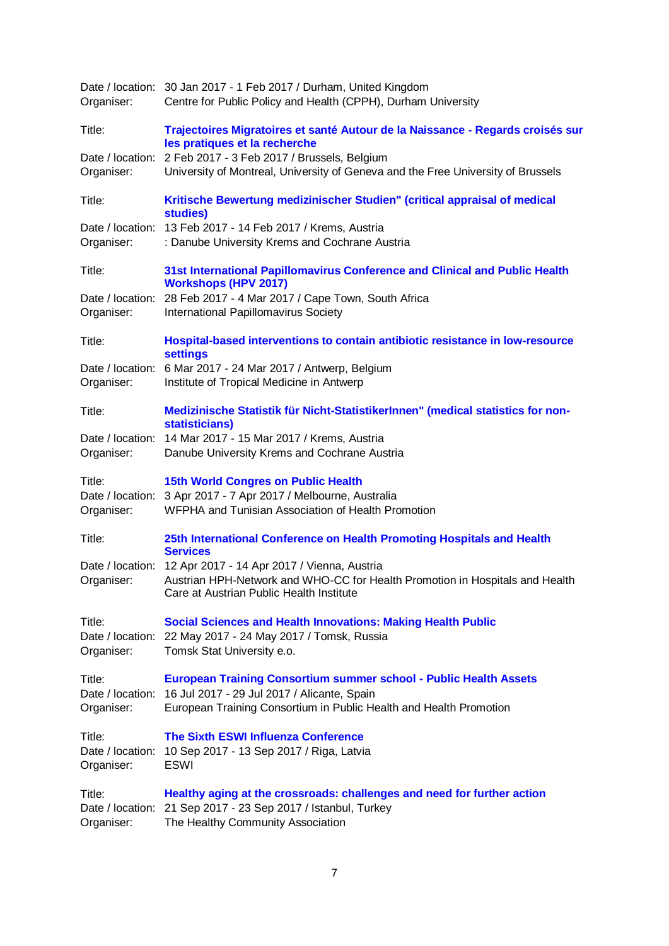| Organiser:       | Date / location: 30 Jan 2017 - 1 Feb 2017 / Durham, United Kingdom<br>Centre for Public Policy and Health (CPPH), Durham University |
|------------------|-------------------------------------------------------------------------------------------------------------------------------------|
| Title:           | Trajectoires Migratoires et santé Autour de la Naissance - Regards croisés sur<br>les pratiques et la recherche                     |
| Date / location: | 2 Feb 2017 - 3 Feb 2017 / Brussels, Belgium                                                                                         |
| Organiser:       | University of Montreal, University of Geneva and the Free University of Brussels                                                    |
| Title:           | Kritische Bewertung medizinischer Studien" (critical appraisal of medical<br>studies)                                               |
|                  | Date / location: 13 Feb 2017 - 14 Feb 2017 / Krems, Austria                                                                         |
| Organiser:       | : Danube University Krems and Cochrane Austria                                                                                      |
| Title:           | 31st International Papillomavirus Conference and Clinical and Public Health<br><b>Workshops (HPV 2017)</b>                          |
| Date / location: | 28 Feb 2017 - 4 Mar 2017 / Cape Town, South Africa                                                                                  |
| Organiser:       | International Papillomavirus Society                                                                                                |
| Title:           | Hospital-based interventions to contain antibiotic resistance in low-resource<br><b>settings</b>                                    |
| Date / location: | 6 Mar 2017 - 24 Mar 2017 / Antwerp, Belgium                                                                                         |
| Organiser:       | Institute of Tropical Medicine in Antwerp                                                                                           |
| Title:           | Medizinische Statistik für Nicht-StatistikerInnen" (medical statistics for non-<br>statisticians)                                   |
|                  | Date / location: 14 Mar 2017 - 15 Mar 2017 / Krems, Austria                                                                         |
| Organiser:       | Danube University Krems and Cochrane Austria                                                                                        |
| Title:           | <b>15th World Congres on Public Health</b>                                                                                          |
|                  | Date / location: 3 Apr 2017 - 7 Apr 2017 / Melbourne, Australia                                                                     |
| Organiser:       | WFPHA and Tunisian Association of Health Promotion                                                                                  |
| Title:           | 25th International Conference on Health Promoting Hospitals and Health<br><b>Services</b>                                           |
|                  | Date / location: 12 Apr 2017 - 14 Apr 2017 / Vienna, Austria                                                                        |
| Organiser:       | Austrian HPH-Network and WHO-CC for Health Promotion in Hospitals and Health<br>Care at Austrian Public Health Institute            |
| Title:           | <b>Social Sciences and Health Innovations: Making Health Public</b>                                                                 |
|                  | Date / location: 22 May 2017 - 24 May 2017 / Tomsk, Russia                                                                          |
| Organiser:       | Tomsk Stat University e.o.                                                                                                          |
| Title:           | <b>European Training Consortium summer school - Public Health Assets</b>                                                            |
|                  | Date / location: 16 Jul 2017 - 29 Jul 2017 / Alicante, Spain                                                                        |
| Organiser:       | European Training Consortium in Public Health and Health Promotion                                                                  |
| Title:           | <b>The Sixth ESWI Influenza Conference</b>                                                                                          |
| Date / location: | 10 Sep 2017 - 13 Sep 2017 / Riga, Latvia                                                                                            |
| Organiser:       | <b>ESWI</b>                                                                                                                         |
| Title:           | Healthy aging at the crossroads: challenges and need for further action                                                             |
| Date / location: | 21 Sep 2017 - 23 Sep 2017 / Istanbul, Turkey                                                                                        |
| Organiser:       | The Healthy Community Association                                                                                                   |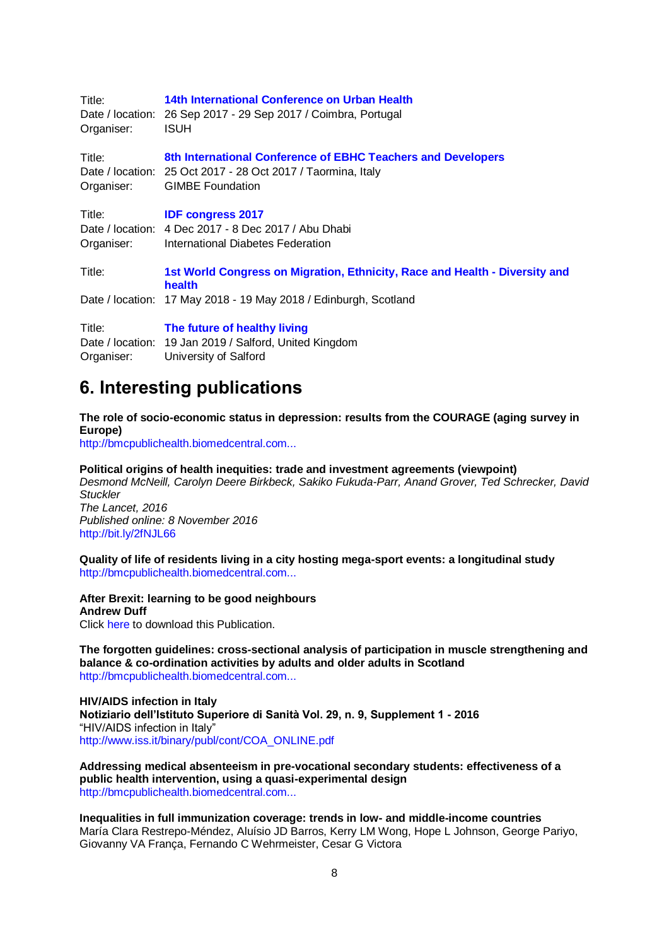| Title:<br>Organiser: | 14th International Conference on Urban Health<br>Date / location: 26 Sep 2017 - 29 Sep 2017 / Coimbra, Portugal<br><b>ISUH</b>                          |
|----------------------|---------------------------------------------------------------------------------------------------------------------------------------------------------|
| Title:<br>Organiser: | 8th International Conference of EBHC Teachers and Developers<br>Date / location: 25 Oct 2017 - 28 Oct 2017 / Taormina, Italy<br><b>GIMBE Foundation</b> |
| Title:<br>Organiser: | <b>IDF congress 2017</b><br>Date / location: 4 Dec 2017 - 8 Dec 2017 / Abu Dhabi<br>International Diabetes Federation                                   |
| Title:               | 1st World Congress on Migration, Ethnicity, Race and Health - Diversity and<br>health                                                                   |
|                      | Date / location: 17 May 2018 - 19 May 2018 / Edinburgh, Scotland                                                                                        |
| Title:               | The future of healthy living                                                                                                                            |
| Organiser:           | Date / location: 19 Jan 2019 / Salford, United Kingdom<br>University of Salford                                                                         |
|                      |                                                                                                                                                         |

## <span id="page-7-0"></span>**6. Interesting publications**

**The role of socio-economic status in depression: results from the COURAGE (aging survey in Europe)**

[http://bmcpublichealth.biomedcentral.com...](http://bmcpublichealth.biomedcentral.com/articles/10.1186/s12889-016-3638-0#Abs1)

**Political origins of health inequities: trade and investment agreements (viewpoint)** *Desmond McNeill, Carolyn Deere Birkbeck, Sakiko Fukuda-Parr, Anand Grover, Ted Schrecker, David Stuckler The Lancet, 2016 Published online: 8 November 2016* <http://bit.ly/2fNJL66>

**Quality of life of residents living in a city hosting mega-sport events: a longitudinal study** [http://bmcpublichealth.biomedcentral.com...](http://bmcpublichealth.biomedcentral.com/articles/10.1186/s12889-016-3777-3#Abs1)

**After Brexit: learning to be good neighbours Andrew Duff** Click [here](http://eye.newsletter.epc.eu/c?p=xBBfFlHQ2FRq0IdD0KrQkTXQhtCz0NRWTcQQ0LYf0IAl69DI0KhJ0IYj0KnQvGL30MxN2TxodHRwOi8vd3d3LmVwYy5ldS9kb2N1bWVudHMvdXBsb2Fkcy9wdWJfNzE5NF9hZnRlcmJyZXhpdC5wZGajNTc4xBAUCxUaXWzQnkrQrHde0IYh7NCr0Ki1ZXllLm5ld3NsZXR0ZXIuZXBjLmV1xBRk0NvQ2NDEFE_QjtCmBnXQqtCq0Kbo0M94-lIx-Q) to download this Publication.

**The forgotten guidelines: cross-sectional analysis of participation in muscle strengthening and balance & co-ordination activities by adults and older adults in Scotland** [http://bmcpublichealth.biomedcentral.com...](http://bmcpublichealth.biomedcentral.com/articles/10.1186/s12889-016-3774-6#Abs1)

**HIV/AIDS infection in Italy Notiziario dell'Istituto Superiore di Sanità Vol. 29, n. 9, Supplement 1 - 2016** "HIV/AIDS infection in Italy" [http://www.iss.it/binary/publ/cont/COA\\_ONLINE.pdf](http://www.iss.it/binary/publ/cont/COA_ONLINE.pdf)

**Addressing medical absenteeism in pre-vocational secondary students: effectiveness of a public health intervention, using a quasi-experimental design** [http://bmcpublichealth.biomedcentral.com...](http://bmcpublichealth.biomedcentral.com/articles/10.1186/s12889-016-3718-1#Abs1)

**Inequalities in full immunization coverage: trends in low- and middle-income countries**  María Clara Restrepo-Méndez, Aluísio JD Barros, Kerry LM Wong, Hope L Johnson, George Pariyo, Giovanny VA França, Fernando C Wehrmeister, Cesar G Victora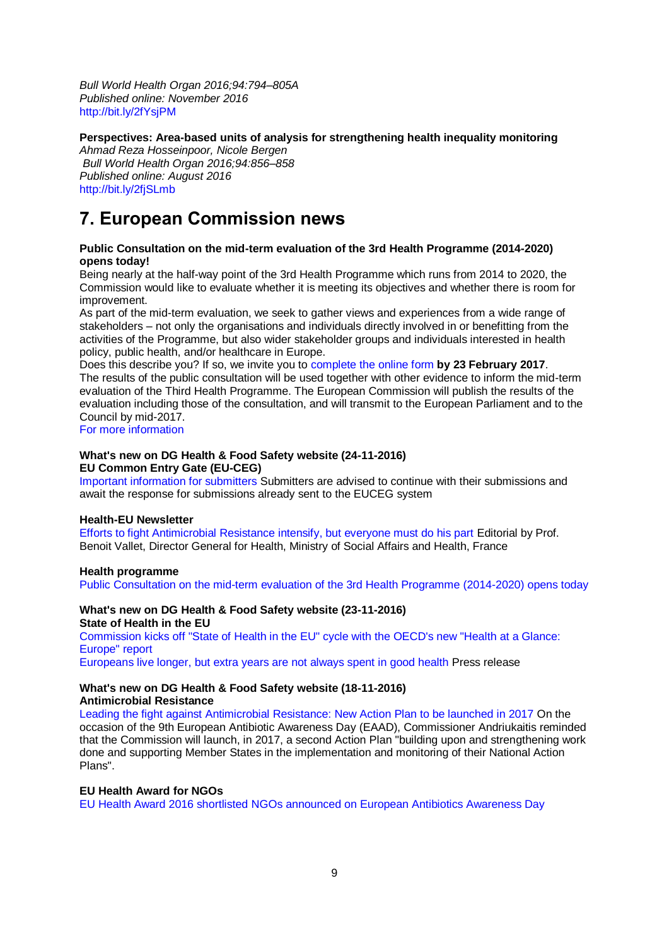*Bull World Health Organ 2016;94:794–805A Published online: November 2016* <http://bit.ly/2fYsjPM>

**Perspectives: Area-based units of analysis for strengthening health inequality monitoring** 

*Ahmad Reza Hosseinpoor, Nicole Bergen Bull World Health Organ 2016;94:856–858 Published online: August 2016* <http://bit.ly/2fjSLmb>

## <span id="page-8-0"></span>**7. European Commission news**

## **Public Consultation on the mid-term evaluation of the 3rd Health Programme (2014-2020) opens today!**

Being nearly at the half-way point of the 3rd Health Programme which runs from 2014 to 2020, the Commission would like to evaluate whether it is meeting its objectives and whether there is room for improvement.

As part of the mid-term evaluation, we seek to gather views and experiences from a wide range of stakeholders – not only the organisations and individuals directly involved in or benefitting from the activities of the Programme, but also wider stakeholder groups and individuals interested in health policy, public health, and/or healthcare in Europe.

Does this describe you? If so, we invite you to [complete the online form](https://ec.europa.eu/eusurvey/runner/mid-term_ev_3rd_health_programme_2014-2020) **by 23 February 2017**. The results of the public consultation will be used together with other evidence to inform the mid-term evaluation of the Third Health Programme. The European Commission will publish the results of the evaluation including those of the consultation, and will transmit to the European Parliament and to the Council by mid-2017.

[For more information](http://ec.europa.eu/health/programme/consultations/midterm_evaluation_en.htm)

#### **What's new on DG Health & Food Safety website (24-11-2016) EU Common Entry Gate (EU-CEG)**

[Important information for submitters](http://ec.europa.eu/health/euceg/docs/20161123_information_submitters_en.pdf) Submitters are advised to continue with their submissions and await the response for submissions already sent to the EUCEG system

## **Health-EU Newsletter**

[Efforts to fight Antimicrobial Resistance intensify, but everyone must do his part E](http://ec.europa.eu/health/newsletter/184/newsletter_en.htm)ditorial by Prof. Benoit Vallet, Director General for Health, Ministry of Social Affairs and Health, France

## **Health programme**

[Public Consultation on the mid-term evaluation of the 3rd Health Programme \(2014-2020\) opens today](http://ec.europa.eu/dgs/health_food-safety/dyna/enews/enews.cfm?al_id=1731)

#### **What's new on DG Health & Food Safety website (23-11-2016) State of Health in the EU**

[Commission kicks off "State of Health in the EU" cycle with the OECD's new "Health at a Glance:](http://ec.europa.eu/health/state/glance/index_en.htm)  [Europe" report](http://ec.europa.eu/health/state/glance/index_en.htm)

[Europeans live longer, but extra years are not always spent in good health](http://europa.eu/rapid/press-release_IP-16-3749_en.htm) Press release

## **What's new on DG Health & Food Safety website (18-11-2016) Antimicrobial Resistance**

[Leading the fight against Antimicrobial Resistance: New Action Plan to be launched in 2017](http://europa.eu/rapid/press-release_IP-16-3805_en.htm) On the occasion of the 9th European Antibiotic Awareness Day (EAAD), Commissioner Andriukaitis reminded that the Commission will launch, in 2017, a second Action Plan "building upon and strengthening work done and supporting Member States in the implementation and monitoring of their National Action Plans".

## **EU Health Award for NGOs**

[EU Health Award 2016 shortlisted NGOs announced on European Antibiotics Awareness Day](http://ec.europa.eu/health/ngo_award/initiatives/index_en.htm)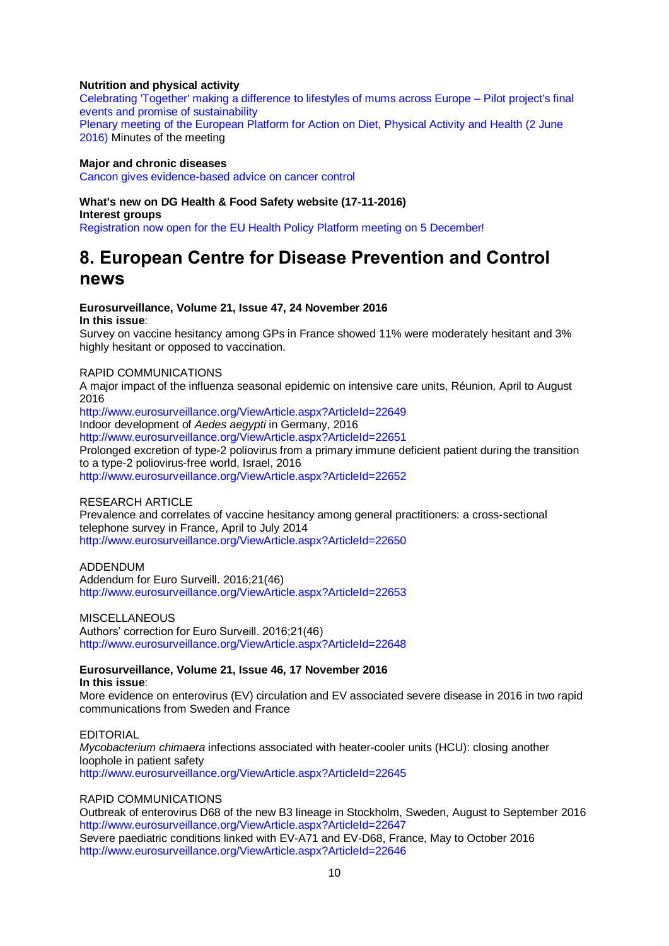## **Nutrition and physical activity**

[Celebrating 'Together' making a difference to lifestyles of mums across Europe –](http://ec.europa.eu/health/nutrition_physical_activity/projects/ep_funded_projects_en.htm#fragment2) Pilot project's final [events and promise of sustainability](http://ec.europa.eu/health/nutrition_physical_activity/projects/ep_funded_projects_en.htm#fragment2) Plenary meeting of the European Platform for Action on Diet, Physical Activity and Health (2 June [2016\)](http://ec.europa.eu/health/nutrition_physical_activity/docs/ev_20160602_mi_en.pdf) Minutes of the meeting

## **Major and chronic diseases**

[Cancon gives evidence-based advice on cancer control](http://www.cancercontrol.eu/news/113/26/Cancon-gives-evidence-based-advice-on-cancer-control/d,news)

### **What's new on DG Health & Food Safety website (17-11-2016)**

**Interest groups** [Registration now open for the EU Health Policy Platform meeting on 5 December!](http://ec.europa.eu/dgs/health_food-safety/dyna/enews/enews.cfm?al_id=1730)

## <span id="page-9-0"></span>**8. European Centre for Disease Prevention and Control news**

#### **Eurosurveillance, Volume 21, Issue 47, 24 November 2016**

**In this issue**:

Survey on vaccine hesitancy among GPs in France showed 11% were moderately hesitant and 3% highly hesitant or opposed to vaccination.

#### RAPID COMMUNICATIONS

A major impact of the influenza seasonal epidemic on intensive care units, Réunion, April to August 2016

<http://www.eurosurveillance.org/ViewArticle.aspx?ArticleId=22649> Indoor development of *Aedes aegypti* in Germany, 2016 <http://www.eurosurveillance.org/ViewArticle.aspx?ArticleId=22651> Prolonged excretion of type-2 poliovirus from a primary immune deficient patient during the transition to a type-2 poliovirus-free world, Israel, 2016

<http://www.eurosurveillance.org/ViewArticle.aspx?ArticleId=22652>

#### RESEARCH ARTICLE

Prevalence and correlates of vaccine hesitancy among general practitioners: a cross-sectional telephone survey in France, April to July 2014 <http://www.eurosurveillance.org/ViewArticle.aspx?ArticleId=22650>

ADDENDUM Addendum for Euro Surveill. 2016;21(46) <http://www.eurosurveillance.org/ViewArticle.aspx?ArticleId=22653>

**MISCELLANEOUS** Authors' correction for Euro Surveill. 2016;21(46) <http://www.eurosurveillance.org/ViewArticle.aspx?ArticleId=22648>

## **Eurosurveillance, Volume 21, Issue 46, 17 November 2016**

**In this issue**:

More evidence on enterovirus (EV) circulation and EV associated severe disease in 2016 in two rapid communications from Sweden and France

### EDITORIAL

*Mycobacterium chimaera* infections associated with heater-cooler units (HCU): closing another loophole in patient safety <http://www.eurosurveillance.org/ViewArticle.aspx?ArticleId=22645>

#### RAPID COMMUNICATIONS

Outbreak of enterovirus D68 of the new B3 lineage in Stockholm, Sweden, August to September 2016 <http://www.eurosurveillance.org/ViewArticle.aspx?ArticleId=22647> Severe paediatric conditions linked with EV-A71 and EV-D68, France, May to October 2016 <http://www.eurosurveillance.org/ViewArticle.aspx?ArticleId=22646>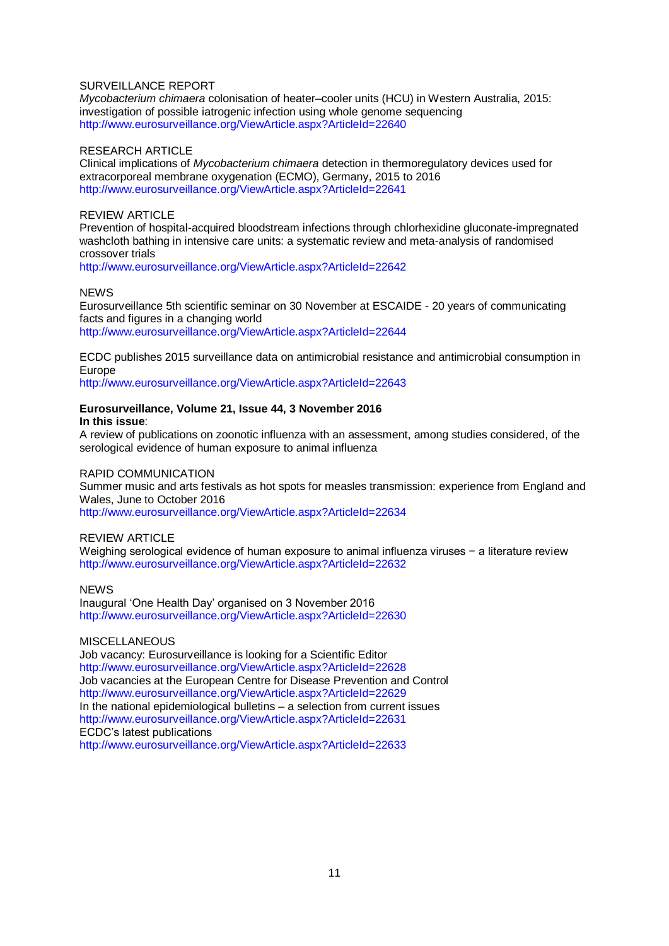### SURVEILLANCE REPORT

*Mycobacterium chimaera* colonisation of heater–cooler units (HCU) in Western Australia, 2015: investigation of possible iatrogenic infection using whole genome sequencing <http://www.eurosurveillance.org/ViewArticle.aspx?ArticleId=22640>

#### RESEARCH ARTICLE

Clinical implications of *Mycobacterium chimaera* detection in thermoregulatory devices used for extracorporeal membrane oxygenation (ECMO), Germany, 2015 to 2016 <http://www.eurosurveillance.org/ViewArticle.aspx?ArticleId=22641>

### REVIEW ARTICLE

Prevention of hospital-acquired bloodstream infections through chlorhexidine gluconate-impregnated washcloth bathing in intensive care units: a systematic review and meta-analysis of randomised crossover trials

<http://www.eurosurveillance.org/ViewArticle.aspx?ArticleId=22642>

#### **NEWS**

Eurosurveillance 5th scientific seminar on 30 November at ESCAIDE - 20 years of communicating facts and figures in a changing world <http://www.eurosurveillance.org/ViewArticle.aspx?ArticleId=22644>

ECDC publishes 2015 surveillance data on antimicrobial resistance and antimicrobial consumption in Europe

<http://www.eurosurveillance.org/ViewArticle.aspx?ArticleId=22643>

#### **Eurosurveillance, Volume 21, Issue 44, 3 November 2016 In this issue**:

A review of publications on zoonotic influenza with an assessment, among studies considered, of the serological evidence of human exposure to animal influenza

## RAPID COMMUNICATION

Summer music and arts festivals as hot spots for measles transmission: experience from England and Wales, June to October 2016

<http://www.eurosurveillance.org/ViewArticle.aspx?ArticleId=22634>

#### REVIEW ARTICLE

Weighing serological evidence of human exposure to animal influenza viruses − a literature review <http://www.eurosurveillance.org/ViewArticle.aspx?ArticleId=22632>

**NEWS** Inaugural 'One Health Day' organised on 3 November 2016 <http://www.eurosurveillance.org/ViewArticle.aspx?ArticleId=22630>

#### **MISCELLANEOUS**

Job vacancy: Eurosurveillance is looking for a Scientific Editor <http://www.eurosurveillance.org/ViewArticle.aspx?ArticleId=22628> Job vacancies at the European Centre for Disease Prevention and Control <http://www.eurosurveillance.org/ViewArticle.aspx?ArticleId=22629> In the national epidemiological bulletins – a selection from current issues <http://www.eurosurveillance.org/ViewArticle.aspx?ArticleId=22631> ECDC's latest publications <http://www.eurosurveillance.org/ViewArticle.aspx?ArticleId=22633>